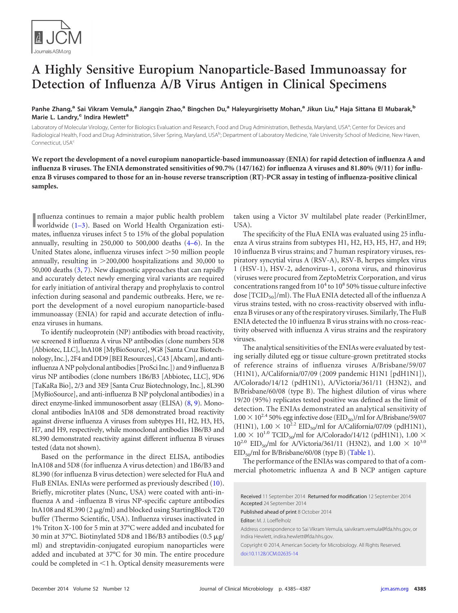

## **A Highly Sensitive Europium Nanoparticle-Based Immunoassay for Detection of Influenza A/B Virus Antigen in Clinical Specimens**

**Panhe Zhang,<sup>a</sup> Sai Vikram Vemula,<sup>a</sup> Jiangqin Zhao,<sup>a</sup> Bingchen Du,<sup>a</sup> Haleyurgirisetty Mohan,<sup>a</sup> Jikun Liu,<sup>a</sup> Haja Sittana El Mubarak,<sup>b</sup> Marie L. Landry,<sup>c</sup> Indira Hewlett<sup>a</sup>**

Laboratory of Molecular Virology, Center for Biologics Evaluation and Research, Food and Drug Administration, Bethesda, Maryland, USA<sup>a</sup>; Center for Devices and Radiological Health, Food and Drug Administration, Silver Spring, Maryland, USA<sup>b</sup>; Department of Laboratory Medicine, Yale University School of Medicine, New Haven, Connecticut, USA<sup>c</sup>

**We report the development of a novel europium nanoparticle-based immunoassay (ENIA) for rapid detection of influenza A and influenza B viruses. The ENIA demonstrated sensitivities of 90.7% (147/162) for influenza A viruses and 81.80% (9/11) for influenza B viruses compared to those for an in-house reverse transcription (RT)-PCR assay in testing of influenza-positive clinical samples.**

**I**nfluenza continues to remain a major public health problem<br>
worldwide [\(1](#page-2-0)[–](#page-2-1)[3\)](#page-2-2). Based on World Health Organization estinfluenza continues to remain a major public health problem mates, influenza viruses infect 5 to 15% of the global population annually, resulting in  $250,000$  to  $500,000$  deaths  $(4-6)$  $(4-6)$  $(4-6)$ . In the United States alone, influenza viruses infect >50 million people annually, resulting in >200,000 hospitalizations and 30,000 to 50,000 deaths [\(3,](#page-2-2) [7\)](#page-2-6). New diagnostic approaches that can rapidly and accurately detect newly emerging viral variants are required for early initiation of antiviral therapy and prophylaxis to control infection during seasonal and pandemic outbreaks. Here, we report the development of a novel europium nanoparticle-based immunoassay (ENIA) for rapid and accurate detection of influenza viruses in humans.

To identify nucleoprotein (NP) antibodies with broad reactivity, we screened 8 influenza A virus NP antibodies (clone numbers 5D8 [Abbiotec, LLC], lnA108 [MyBioSource], 9G8 [Santa Cruz Biotechnology, Inc.], 2F4 and DD9 [BEI Resources], C43 [Abcam], and antiinfluenza A NP polyclonal antibodies [ProSci Inc.]) and 9influenza B virus NP antibodies (clone numbers 1B6/B3 [Abbiotec, LLC], 9D6 [TaKaRa Bio], 2/3 and 3E9 [Santa Cruz Biotechnology, Inc.], 8L390 [MyBioSource], and anti-influenza B NP polyclonal antibodies) in a direct enzyme-linked immunosorbent assay (ELISA) [\(8,](#page-2-7) [9\)](#page-2-8). Monoclonal antibodies lnA108 and 5D8 demonstrated broad reactivity against diverse influenza A viruses from subtypes H1, H2, H3, H5, H7, and H9, respectively, while monoclonal antibodies 1B6/B3 and 8L390 demonstrated reactivity against different influenza B viruses tested (data not shown).

Based on the performance in the direct ELISA, antibodies lnA108 and 5D8 (for influenza A virus detection) and 1B6/B3 and 8L390 (for influenza B virus detection) were selected for FluA and FluB ENIAs. ENIAs were performed as previously described [\(10\)](#page-2-9). Briefly, microtiter plates (Nunc, USA) were coated with anti-influenza A and -influenza B virus NP-specific capture antibodies lnA108 and 8L390 (2 µg/ml) and blocked using StartingBlock T20 buffer (Thermo Scientific, USA). Influenza viruses inactivated in 1% Triton X-100 for 5 min at 37°C were added and incubated for 30 min at 37°C. Biotinylated 5D8 and 1B6/B3 antibodies (0.5  $\mu$ g/ ml) and streptavidin-conjugated europium nanoparticles were added and incubated at 37°C for 30 min. The entire procedure could be completed in  $\leq 1$  h. Optical density measurements were

taken using a Victor 3V multilabel plate reader (PerkinElmer, USA).

The specificity of the FluA ENIA was evaluated using 25 influenza A virus strains from subtypes H1, H2, H3, H5, H7, and H9; 10 influenza B virus strains; and 7 human respiratory viruses, respiratory syncytial virus A (RSV-A), RSV-B, herpes simplex virus 1 (HSV-1), HSV-2, adenovirus-1, corona virus, and rhinovirus (viruses were procured from ZeptoMetrix Corporation, and virus concentrations ranged from  $10^4$  to  $10^8$  50% tissue culture infective dose  $[TCID_{50}]/m$ . The FluA ENIA detected all of the influenza A virus strains tested, with no cross-reactivity observed with influenza B viruses or any of the respiratory viruses. Similarly, The FluB ENIA detected the 10 influenza B virus strains with no cross-reactivity observed with influenza A virus strains and the respiratory viruses.

The analytical sensitivities of the ENIAs were evaluated by testing serially diluted egg or tissue culture-grown pretitrated stocks of reference strains of influenza viruses A/Brisbane/59/07 (H1N1), A/California/07/09 (2009 pandemic H1N1 [pdH1N1]), A/Colorado/14/12 (pdH1N1), A/Victoria/361/11 (H3N2), and B/Brisbane/60/08 (type B). The highest dilution of virus where 19/20 (95%) replicates tested positive was defined as the limit of detection. The ENIAs demonstrated an analytical sensitivity of  $1.00 \times 10^{2.4}$  50% egg infective dose (EID<sub>50</sub>)/ml for A/Brisbane/59/07 (H1N1),  $1.00 \times 10^{2.2}$  EID<sub>50</sub>/ml for A/California/07/09 (pdH1N1),  $1.00 \times 10^{1.0}$  TCID<sub>50</sub>/ml for A/Colorado/14/12 (pdH1N1), 1.00  $\times$  $10^{2.0}$  EID<sub>50</sub>/ml for A/Victoria/361/11 (H3N2), and  $1.00 \times 10^{3.0}$  $EID_{50}/ml$  for B/Brisbane/60/08 (type B) [\(Table 1\)](#page-1-0).

The performance of the ENIAs was compared to that of a commercial photometric influenza A and B NCP antigen capture

Received 11 September 2014 Returned for modification 12 September 2014 Accepted 24 September 2014

Published ahead of print 8 October 2014

Editor: M. J. Loeffelholz

Address correspondence to Sai Vikram Vemula, saivikram.vemula@fda.hhs.gov, or Indira Hewlett, indira.hewlett@fda.hhs.gov.

Copyright © 2014, American Society for Microbiology. All Rights Reserved. [doi:10.1128/JCM.02635-14](http://dx.doi.org/10.1128/JCM.02635-14)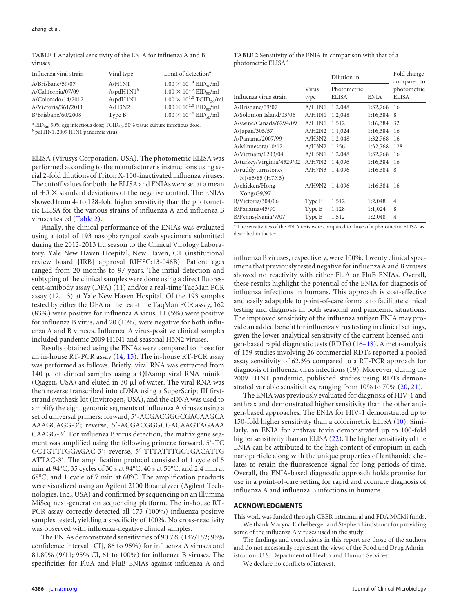<span id="page-1-0"></span>**TABLE 1** Analytical sensitivity of the ENIA for influenza A and B viruses

| Influenza viral strain | Viral type   | Limit of detection <sup>a</sup>               |  |
|------------------------|--------------|-----------------------------------------------|--|
| A/Brisbane/59/07       | A/H1N1       | $1.00 \times 10^{2.4}$ EID <sub>50</sub> /ml  |  |
| A/California/07/09     | $A/bdH1N1^b$ | $1.00 \times 10^{2.2}$ EID <sub>so</sub> /ml  |  |
| A/Colorado/14/2012     | A/pdH1N1     | $1.00 \times 10^{1.0}$ TCID <sub>50</sub> /ml |  |
| A/Victoria/361/2011    | A/H3N2       | $1.00 \times 10^{2.0}$ EID <sub>50</sub> /ml  |  |
| B/Brisbane/60/2008     | Type B       | $1.00 \times 10^{3.0}$ EID <sub>so</sub> /ml  |  |
|                        |              |                                               |  |

 $^a$  EID<sub>50</sub>, 50% egg infectious dose; TCID<sub>50</sub>, 50% tissue culture infectious dose. *b* pdH1N1, 2009 H1N1 pandemic virus.

ELISA (Virusys Corporation, USA). The photometric ELISA was performed according to the manufacturer's instructions using serial 2-fold dilutions of Triton X-100-inactivated influenza viruses. The cutoff values for both the ELISA and ENIAs were set at a mean of  $+3 \times$  standard deviations of the negative control. The ENIAs showed from 4- to 128-fold higher sensitivity than the photometric ELISA for the various strains of influenza A and influenza B viruses tested [\(Table 2\)](#page-1-1).

Finally, the clinical performance of the ENIAs was evaluated using a total of 193 nasopharyngeal swab specimens submitted during the 2012-2013 flu season to the Clinical Virology Laboratory, Yale New Haven Hospital, New Haven, CT (institutional review board [IRB] approval RIHSC:13-048B). Patient ages ranged from 20 months to 97 years. The initial detection and subtyping of the clinical samples were done using a direct fluorescent-antibody assay (DFA) [\(11\)](#page-2-10) and/or a real-time TaqMan PCR assay [\(12,](#page-2-11) [13\)](#page-2-12) at Yale New Haven Hospital. Of the 193 samples tested by either the DFA or the real-time TaqMan PCR assay, 162 (83%) were positive for influenza A virus, 11 (5%) were positive for influenza B virus, and 20 (10%) were negative for both influenza A and B viruses. Influenza A virus-positive clinical samples included pandemic 2009 H1N1 and seasonal H3N2 viruses.

Results obtained using the ENIAs were compared to those for an in-house RT-PCR assay [\(14,](#page-2-13) [15\)](#page-2-14). The in-house RT-PCR assay was performed as follows. Briefly, viral RNA was extracted from 140 µl of clinical samples using a QIAamp viral RNA minikit (Qiagen, USA) and eluted in 30  $\mu$ l of water. The viral RNA was then reverse transcribed into cDNA using a SuperScript III firststrand synthesis kit (Invitrogen, USA), and the cDNA was used to amplify the eight genomic segments of influenza A viruses using a set of universal primers: forward, 5'-ACGACGGGCGACAAGCA AAAGCAGG-3'; reverse, 5'-ACGACGGGCGACAAGTAGAAA CAAGG-3'. For influenza B virus detection, the matrix gene segment was amplified using the following primers: forward, 5'-TC GCTGTTTGGAGAC-3'; reverse, 5'-TTTATTTGCTGACATTG ATTAC-3'. The amplification protocol consisted of 1 cycle of 5 min at 94°C; 35 cycles of 30 s at 94°C, 40 s at 50°C, and 2.4 min at 68°C; and 1 cycle of 7 min at 68°C. The amplification products were visualized using an Agilent 2100 Bioanalyzer (Agilent Technologies, Inc., USA) and confirmed by sequencing on an Illumina MiSeq next-generation sequencing platform. The in-house RT-PCR assay correctly detected all 173 (100%) influenza-positive samples tested, yielding a specificity of 100%. No cross-reactivity was observed with influenza-negative clinical samples.

The ENIAs demonstrated sensitivities of 90.7% (147/162; 95% confidence interval [CI], 86 to 95%) for influenza A viruses and 81.80% (9/11; 95% CI, 61 to 100%) for influenza B viruses. The specificities for FluA and FluB ENIAs against influenza A and

<span id="page-1-1"></span>

|               | Dilution in:                |             | Fold change<br>compared to  |
|---------------|-----------------------------|-------------|-----------------------------|
| Virus<br>type | Photometric<br><b>ELISA</b> | <b>ENIA</b> | photometric<br><b>ELISA</b> |
| A/H1N1        | 1:2,048                     | 1:32,768    | 16                          |
| A/H1N1        | 1:2,048                     | 1:16,384    | 8                           |
| A/H1N1        | 1:512                       | 1:16,384    | 32                          |
| A/H2N2        | 1:1,024                     | 1:16,384    | 16                          |
| A/H3N2        | 1:2,048                     | 1:32,768    | 16                          |
| A/H3N2        | 1:256                       | 1:32,768    | 128                         |
| A/H5N1        | 1:2,048                     | 1:32,768    | 16                          |
| A/H7N2        | 1:4,096                     | 1:16,384    | 16                          |
| A/H7N3        | 1:4,096                     | 1:16,384    | 8                           |
| A/H9N2        | 1:4,096                     | 1:16,384    | 16                          |
| Type B        | 1:512                       | 1:2,048     | 4                           |
| Type B        | 1:128                       | 1:1,024     | 8                           |
| Type B        | 1:512                       | 1:2,048     | 4                           |
|               |                             |             |                             |

*<sup>a</sup>* The sensitivities of the ENIA tests were compared to those of a photometric ELISA, as described in the text.

influenza B viruses, respectively, were 100%. Twenty clinical specimens that previously tested negative for influenza A and B viruses showed no reactivity with either FluA or FluB ENIAs. Overall, these results highlight the potential of the ENIA for diagnosis of influenza infections in humans. This approach is cost-effective and easily adaptable to point-of-care formats to facilitate clinical testing and diagnosis in both seasonal and pandemic situations. The improved sensitivity of the influenza antigen ENIA may provide an added benefit for influenza virus testing in clinical settings, given the lower analytical sensitivity of the current licensed antigen-based rapid diagnostic tests (RDTs) [\(16](#page-2-15)[–](#page-2-16)[18\)](#page-2-17). A meta-analysis of 159 studies involving 26 commercial RDTs reported a pooled assay sensitivity of 62.3% compared to a RT-PCR approach for diagnosis of influenza virus infections [\(19\)](#page-2-18). Moreover, during the 2009 H1N1 pandemic, published studies using RDTs demonstrated variable sensitivities, ranging from 10% to 70% [\(20,](#page-2-19) [21\)](#page-2-20).

The ENIA was previously evaluated for diagnosis of HIV-1 and anthrax and demonstrated higher sensitivity than the other antigen-based approaches. The ENIA for HIV-1 demonstrated up to 150-fold higher sensitivity than a colorimetric ELISA [\(10\)](#page-2-9). Similarly, an ENIA for anthrax toxin demonstrated up to 100-fold higher sensitivity than an ELISA [\(22\)](#page-2-21). The higher sensitivity of the ENIA can be attributed to the high content of europium in each nanoparticle along with the unique properties of lanthanide chelates to retain the fluorescence signal for long periods of time. Overall, the ENIA-based diagnostic approach holds promise for use in a point-of-care setting for rapid and accurate diagnosis of influenza A and influenza B infections in humans.

## **ACKNOWLEDGMENTS**

This work was funded through CBER intramural and FDA MCMi funds.

We thank Maryna Eichelberger and Stephen Lindstrom for providing some of the influenza A viruses used in the study.

The findings and conclusions in this report are those of the authors and do not necessarily represent the views of the Food and Drug Administration, U.S. Department of Health and Human Services.

We declare no conflicts of interest.